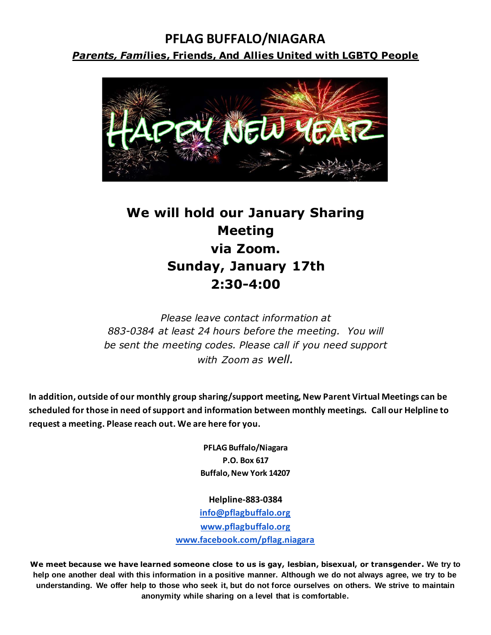### **PFLAG BUFFALO/NIAGARA** *Parents, Fami***lies, Friends, And Allies United with LGBTQ People**



# **We will hold our January Sharing Meeting via Zoom. Sunday, January 17th 2:30-4:00**

*Please leave contact information at 883-0384 at least 24 hours before the meeting. You will be sent the meeting codes. Please call if you need support with Zoom as well.*

**In addition, outside of our monthly group sharing/support meeting, New Parent Virtual Meetings can be scheduled for those in need of support and information between monthly meetings. Call our Helpline to request a meeting. Please reach out. We are here for you.**

> **PFLAG Buffalo/Niagara P.O. Box 617 Buffalo, New York 14207**

**Helpline-883-0384 [info@pflagbuffalo.org](mailto:info@pflagbuffalo.org) [www.pflagbuffalo.org](http://www.pflagbuffalo.org/) [www.facebook.com/pflag.niagara](http://www.facebook.com/pflag.niagara)**

**We meet because we have learned someone close to us is gay, lesbian, bisexual, or transgender. We try to help one another deal with this information in a positive manner. Although we do not always agree, we try to be understanding. We offer help to those who seek it, but do not force ourselves on others. We strive to maintain anonymity while sharing on a level that is comfortable.**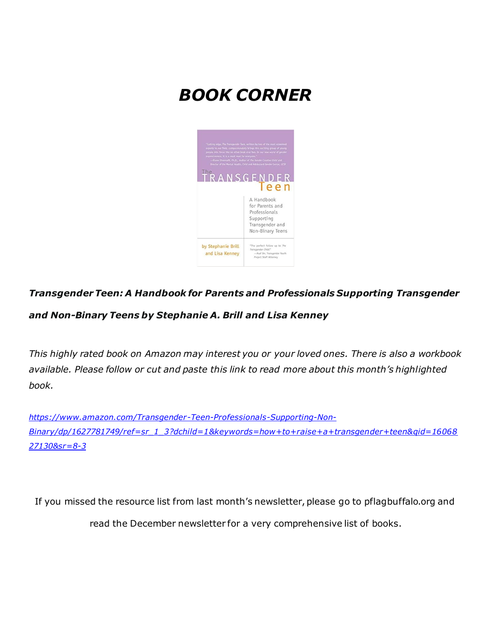# *BOOK CORNER*



## *Transgender Teen: A Handbook for Parents and Professionals Supporting Transgender and Non-Binary Teens by Stephanie A. Brill and Lisa Kenney*

*This highly rated book on Amazon may interest you or your loved ones. There is also a workbook available. Please follow or cut and paste this link to read more about this month's highlighted book.* 

*[https://www.amazon.com/Transgender-Teen-Professionals-Supporting-Non-](https://www.amazon.com/Transgender-Teen-Professionals-Supporting-Non-Binary/dp/1627781749/ref=sr_1_3?dchild=1&keywords=how+to+raise+a+transgender+teen&qid=1606827130&sr=8-3)[Binary/dp/1627781749/ref=sr\\_1\\_3?dchild=1&keywords=how+to+raise+a+transgender+teen&qid=16068](https://www.amazon.com/Transgender-Teen-Professionals-Supporting-Non-Binary/dp/1627781749/ref=sr_1_3?dchild=1&keywords=how+to+raise+a+transgender+teen&qid=1606827130&sr=8-3) [27130&sr=8-3](https://www.amazon.com/Transgender-Teen-Professionals-Supporting-Non-Binary/dp/1627781749/ref=sr_1_3?dchild=1&keywords=how+to+raise+a+transgender+teen&qid=1606827130&sr=8-3)*

If you missed the resource list from last month's newsletter, please go to pflagbuffalo.org and read the December newsletter for a very comprehensive list of books.